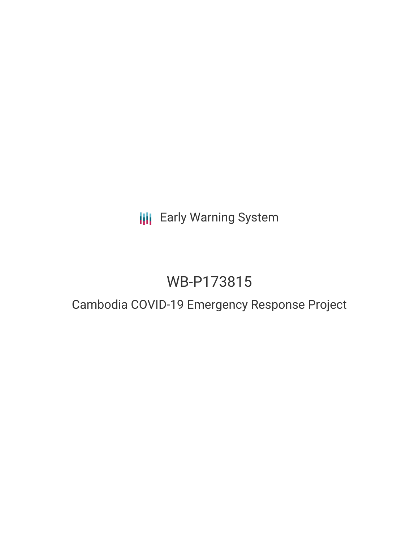**III** Early Warning System

# WB-P173815

# Cambodia COVID-19 Emergency Response Project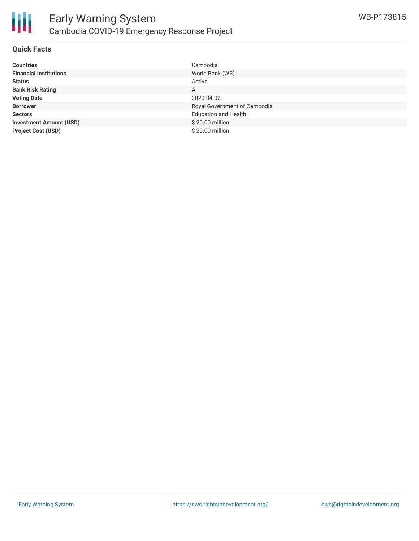

## **Quick Facts**

| <b>Countries</b>               | Cambodia                     |
|--------------------------------|------------------------------|
| <b>Financial Institutions</b>  | World Bank (WB)              |
| <b>Status</b>                  | Active                       |
| <b>Bank Risk Rating</b>        | A                            |
| <b>Voting Date</b>             | 2020-04-02                   |
| <b>Borrower</b>                | Royal Government of Cambodia |
| <b>Sectors</b>                 | <b>Education and Health</b>  |
| <b>Investment Amount (USD)</b> | \$20.00 million              |
| <b>Project Cost (USD)</b>      | \$20.00 million              |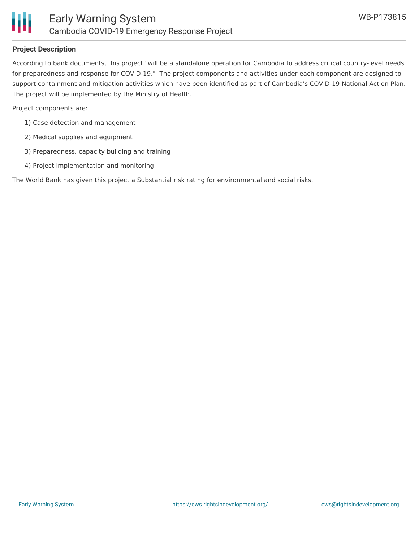

### **Project Description**

According to bank documents, this project "will be a standalone operation for Cambodia to address critical country-level needs for preparedness and response for COVID-19." The project components and activities under each component are designed to support containment and mitigation activities which have been identified as part of Cambodia's COVID-19 National Action Plan. The project will be implemented by the Ministry of Health.

Project components are:

- 1) Case detection and management
- 2) Medical supplies and equipment
- 3) Preparedness, capacity building and training
- 4) Project implementation and monitoring

The World Bank has given this project a Substantial risk rating for environmental and social risks.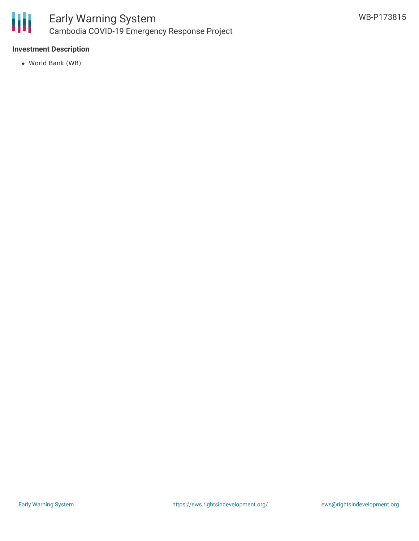

# **Investment Description**

World Bank (WB)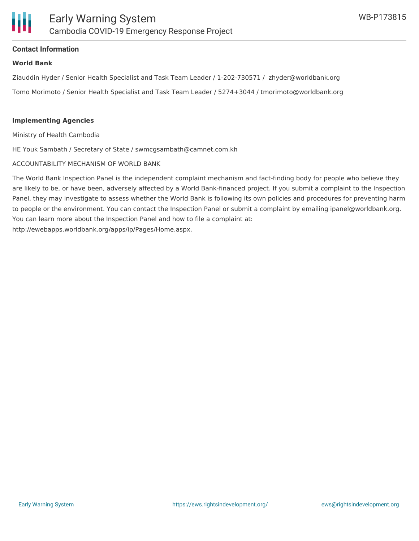

### **Contact Information**

#### **World Bank**

Ziauddin Hyder / Senior Health Specialist and Task Team Leader / 1-202-730571 / zhyder@worldbank.org Tomo Morimoto / Senior Health Specialist and Task Team Leader / 5274+3044 / tmorimoto@worldbank.org

#### **Implementing Agencies**

Ministry of Health Cambodia

HE Youk Sambath / Secretary of State / swmcgsambath@camnet.com.kh

#### ACCOUNTABILITY MECHANISM OF WORLD BANK

The World Bank Inspection Panel is the independent complaint mechanism and fact-finding body for people who believe they are likely to be, or have been, adversely affected by a World Bank-financed project. If you submit a complaint to the Inspection Panel, they may investigate to assess whether the World Bank is following its own policies and procedures for preventing harm to people or the environment. You can contact the Inspection Panel or submit a complaint by emailing ipanel@worldbank.org. You can learn more about the Inspection Panel and how to file a complaint at: http://ewebapps.worldbank.org/apps/ip/Pages/Home.aspx.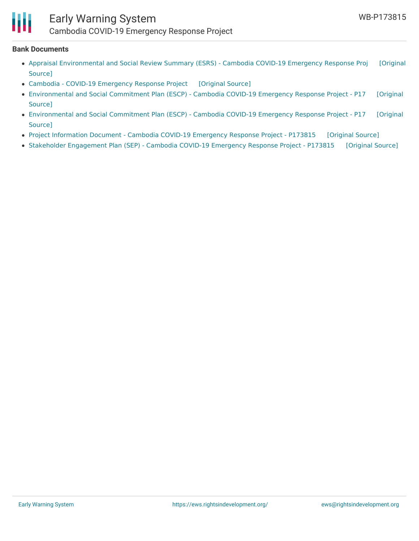

# Early Warning System Cambodia COVID-19 Emergency Response Project

#### **Bank Documents**

- Appraisal [Environmental](https://ewsdata.rightsindevelopment.org/files/documents/15/WB-P173815.pdf) and Social Review Summary (ESRS) Cambodia COVID-19 Emergency Response Proj [Original Source]
- Cambodia COVID-19 [Emergency](https://ewsdata.rightsindevelopment.org/files/documents/15/WB-P173815_FbE4bHg.pdf) Response Project [\[Original](http://documents.worldbank.org/curated/en/737031585950801934/pdf/Cambodia-COVID-19-Emergency-Response-Project.pdf) Source]
- [Environmental](http://documents.worldbank.org/curated/en/627261585674610338/pdf/Environmental-and-Social-Commitment-Plan-ESCP-Cambodia-COVID-19-Emergency-Response-Project-P173815.pdf) and Social Commitment Plan (ESCP) Cambodia COVID-19 Emergency Response Project P17 [Original Source]
- [Environmental](http://documents.worldbank.org/curated/en/439691585153106101/pdf/Environmental-and-Social-Commitment-Plan-ESCP-Cambodia-COVID-19-Emergency-Response-Project-P173815.pdf) and Social Commitment Plan (ESCP) Cambodia COVID-19 Emergency Response Project P17 [Original Source]
- Project [Information](https://ewsdata.rightsindevelopment.org/files/documents/15/WB-P173815_C0IcxD5.pdf) Document Cambodia COVID-19 Emergency Response Project P173815 [\[Original](http://documents.worldbank.org/curated/en/260401585557181411/pdf/Project-Information-Document-Cambodia-COVID-19-Emergency-Response-Project-P173815.pdf) Source]
- Stakeholder [Engagement](https://ewsdata.rightsindevelopment.org/files/documents/15/WB-P173815_6YC6cB3.pdf) Plan (SEP) Cambodia COVID-19 Emergency Response Project P173815 [\[Original](http://documents.worldbank.org/curated/en/472511585674629874/pdf/Stakeholder-Engagement-Plan-SEP-Cambodia-COVID-19-Emergency-Response-Project-P173815.pdf) Source]